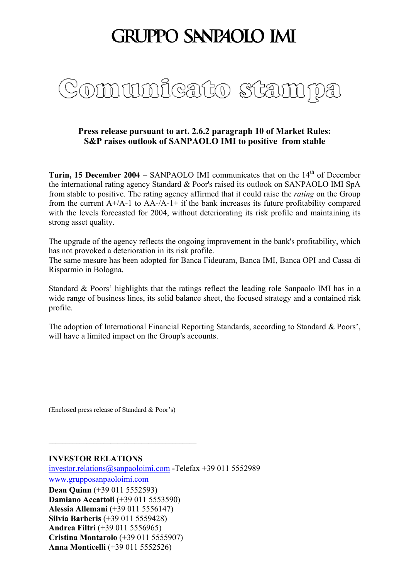## **GRUPPO SANPAOLO IMI**



## **Press release pursuant to art. 2.6.2 paragraph 10 of Market Rules: S&P raises outlook of SANPAOLO IMI to positive from stable**

**Turin, 15 December 2004** – SANPAOLO IMI communicates that on the  $14<sup>th</sup>$  of December the international rating agency Standard & Poor's raised its outlook on SANPAOLO IMI SpA from stable to positive. The rating agency affirmed that it could raise the *rating* on the Group from the current  $A^{2}/A^{-1}$  to  $AA^{-}/A^{-1}$  if the bank increases its future profitability compared with the levels forecasted for 2004, without deteriorating its risk profile and maintaining its strong asset quality.

The upgrade of the agency reflects the ongoing improvement in the bank's profitability, which has not provoked a deterioration in its risk profile.

The same mesure has been adopted for Banca Fideuram, Banca IMI, Banca OPI and Cassa di Risparmio in Bologna.

Standard & Poors' highlights that the ratings reflect the leading role Sanpaolo IMI has in a wide range of business lines, its solid balance sheet, the focused strategy and a contained risk profile.

The adoption of International Financial Reporting Standards, according to Standard & Poors', will have a limited impact on the Group's accounts.

(Enclosed press release of Standard & Poor's)

**\_\_\_\_\_\_\_\_\_\_\_\_\_\_\_\_\_\_\_\_\_\_\_\_\_\_\_\_\_\_\_\_\_\_\_\_\_\_\_\_\_\_\_**

## **INVESTOR RELATIONS**

investor.relations@sanpaoloimi.com **-**Telefax +39 011 5552989 www.grupposanpaoloimi.com **Dean Quinn** (+39 011 5552593) **Damiano Accattoli** (+39 011 5553590) **Alessia Allemani** (+39 011 5556147) **Silvia Barberis** (+39 011 5559428) **Andrea Filtri** (+39 011 5556965) **Cristina Montarolo** (+39 011 5555907) **Anna Monticelli** (+39 011 5552526)